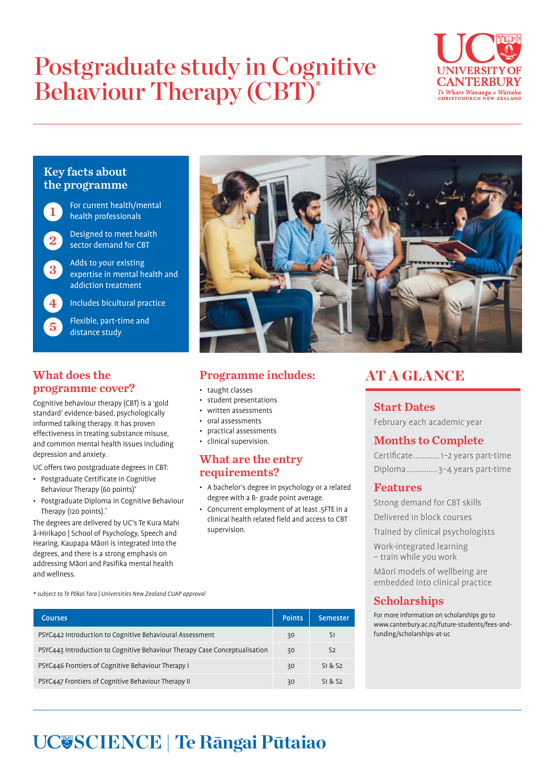# Postgraduate study in Cognitive Behaviour Therapy (CBT)\*



## Key facts about the programme



For current health/mental health professionals

Designed to meet health sector demand for CBT

3 Adds to your existing expertise in mental health and addiction treatment

4 Includes bicultural practice

5 Flexible, part-time and distance study

## What does the programme cover?

Cognitive behaviour therapy (CBT) is a 'gold standard' evidence-based, psychologically informed talking therapy. It has proven effectiveness in treating substance misuse, and common mental health issues including depression and anxiety.

UC offers two postgraduate degrees in CBT:

- Postgraduate Certificate in Cognitive Behaviour Therapy (60 points)\*
- Postgraduate Diploma in Cognitive Behaviour Therapy (120 points).\*

The degrees are delivered by UC's Te Kura Mahi ā-Hirikapo | School of Psychology, Speech and Hearing. Kaupapa Māori is integrated into the degrees, and there is a strong emphasis on addressing Māori and Pasifika mental health and wellness.



## Programme includes:

- taught classes
- student presentations
- written assessments
- oral assessments
- practical assessments
- clinical supervision.

### What are the entry requirements?

- A bachelor's degree in psychology or a related degree with a B- grade point average.
- Concurrent employment of at least .5FTE in a clinical health related field and access to CBT supervision.

## AT A GLANCE

## Start Dates

February each academic year

## Months to Complete

Certificate............1–2 years part-time Diploma.............. 3–4 years part-time

## Features

Strong demand for CBT skills

Delivered in block courses

Trained by clinical psychologists

Work-integrated learning – train while you work

Māori models of wellbeing are embedded into clinical practice

## Scholarships

For more information on scholarships go to www.canterbury.ac.nz/future-students/fees-andfunding/scholarships-at-uc

\* subject to Te Pōkai Tara | Universities New Zealand CUAP approval

| <b>Courses</b>                                                             | <b>Points</b> | Semester       |
|----------------------------------------------------------------------------|---------------|----------------|
| PSYC442 Introduction to Cognitive Behavioural Assessment                   | 30            | S1             |
| PSYC443 Introduction to Cognitive Behaviour Therapy Case Conceptualisation | 30            | S <sub>2</sub> |
| PSYC446 Frontiers of Cognitive Behaviour Therapy I                         | 30            | 51 & 52        |
| PSYC447 Frontiers of Cognitive Behaviour Therapy II                        | 30            | S1 & S2        |

## **SCIENCE | Te Rāngai Pūtaiao**